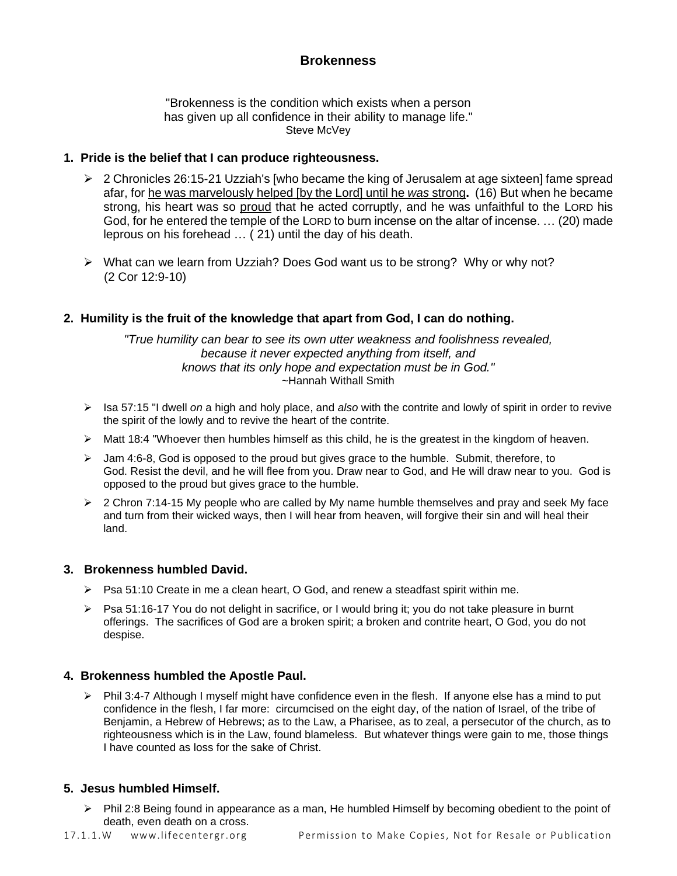# **Brokenness**

"Brokenness is the condition which exists when a person has given up all confidence in their ability to manage life." Steve McVey

## **1. Pride is the belief that I can produce righteousness.**

- $\triangleright$  2 Chronicles 26:15-21 Uzziah's [who became the king of Jerusalem at age sixteen] fame spread afar, for he was marvelously helped [by the Lord] until he *was* strong**.** (16) But when he became strong, his heart was so proud that he acted corruptly, and he was unfaithful to the LORD his God, for he entered the temple of the LORD to burn incense on the altar of incense. … (20) made leprous on his forehead … ( 21) until the day of his death.
- ➢ What can we learn from Uzziah? Does God want us to be strong? Why or why not? (2 Cor 12:9-10)

## **2. Humility is the fruit of the knowledge that apart from God, I can do nothing.**

*"True humility can bear to see its own utter weakness and foolishness revealed, because it never expected anything from itself, and knows that its only hope and expectation must be in God."*  ~Hannah Withall Smith

- ➢ Isa 57:15 "I dwell *on* a high and holy place, and *also* with the contrite and lowly of spirit in order to revive the spirit of the lowly and to revive the heart of the contrite.
- ➢ Matt 18:4 "Whoever then humbles himself as this child, he is the greatest in the kingdom of heaven.
- $\triangleright$  Jam 4:6-8, God is opposed to the proud but gives grace to the humble. Submit, therefore, to God. Resist the devil, and he will flee from you. Draw near to God, and He will draw near to you. God is opposed to the proud but gives grace to the humble.
- $\geq 2$  Chron 7:14-15 My people who are called by My name humble themselves and pray and seek My face and turn from their wicked ways, then I will hear from heaven, will forgive their sin and will heal their land.

### **3. Brokenness humbled David.**

- $\triangleright$  Psa 51:10 Create in me a clean heart, O God, and renew a steadfast spirit within me.
- ➢ Psa 51:16-17 You do not delight in sacrifice, or I would bring it; you do not take pleasure in burnt offerings. The sacrifices of God are a broken spirit; a broken and contrite heart, O God, you do not despise.

### **4. Brokenness humbled the Apostle Paul.**

 $\triangleright$  Phil 3:4-7 Although I myself might have confidence even in the flesh. If anyone else has a mind to put confidence in the flesh, I far more: circumcised on the eight day, of the nation of Israel, of the tribe of Benjamin, a Hebrew of Hebrews; as to the Law, a Pharisee, as to zeal, a persecutor of the church, as to righteousness which is in the Law, found blameless. But whatever things were gain to me, those things I have counted as loss for the sake of Christ.

### **5. Jesus humbled Himself.**

➢ Phil 2:8 Being found in appearance as a man, He humbled Himself by becoming obedient to the point of death, even death on a cross.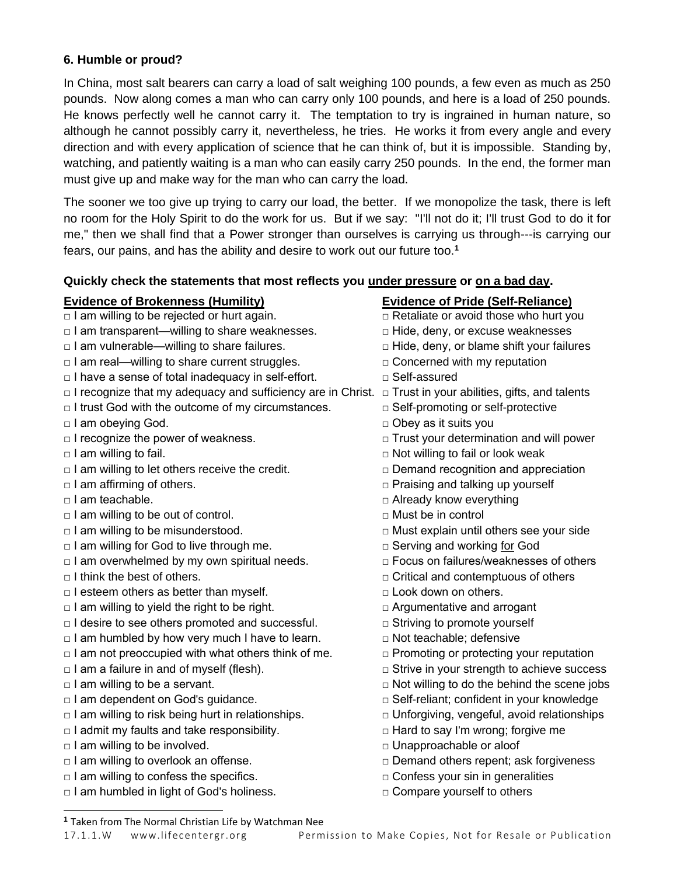## **6. Humble or proud?**

In China, most salt bearers can carry a load of salt weighing 100 pounds, a few even as much as 250 pounds. Now along comes a man who can carry only 100 pounds, and here is a load of 250 pounds. He knows perfectly well he cannot carry it. The temptation to try is ingrained in human nature, so although he cannot possibly carry it, nevertheless, he tries. He works it from every angle and every direction and with every application of science that he can think of, but it is impossible. Standing by, watching, and patiently waiting is a man who can easily carry 250 pounds. In the end, the former man must give up and make way for the man who can carry the load.

The sooner we too give up trying to carry our load, the better. If we monopolize the task, there is left no room for the Holy Spirit to do the work for us. But if we say: "I'll not do it; I'll trust God to do it for me," then we shall find that a Power stronger than ourselves is carrying us through---is carrying our fears, our pains, and has the ability and desire to work out our future too.**<sup>1</sup>**

## **Quickly check the statements that most reflects you under pressure or on a bad day.**

## **Evidence of Brokenness (Humility) Evidence of Pride (Self-Reliance)**

- □ I am willing to be rejected or hurt again. □ □ Retaliate or avoid those who hurt you
- □ I am transparent—willing to share weaknesses. □ Hide, deny, or excuse weaknesses
- □ I am vulnerable—willing to share failures. □ □ Hide, deny, or blame shift your failures
- $\Box$  I am real—willing to share current struggles.  $\Box$  Concerned with my reputation
- □ I have a sense of total inadequacy in self-effort. □ Self-assured
- □ I recognize that my adequacy and sufficiency are in Christ. □ Trust in your abilities, gifts, and talents
- □ I trust God with the outcome of my circumstances. □ Self-promoting or self-protective
- 
- 
- 
- □ I am willing to let others receive the credit. □ □ Demand recognition and appreciation
- 
- 
- □ I am willing to be out of control. □ □ Must be in control
- 
- □ I am willing for God to live through me. □ Serving and working for God
- □ I am overwhelmed by my own spiritual needs. □ □ Focus on failures/weaknesses of others
- 
- □ I esteem others as better than myself. □ □ Dook down on others.
- $\Box$  I am willing to yield the right to be right.  $\Box$  Argumentative and arrogant
- $\Box$  I desire to see others promoted and successful.  $\Box$  Striving to promote yourself
- $\Box$  I am humbled by how very much I have to learn.  $\Box$  Not teachable; defensive
- $\Box$  I am not preoccupied with what others think of me.  $\Box$  Promoting or protecting your reputation
- 
- 
- 
- □ I am willing to risk being hurt in relationships. □ □ Unforgiving, vengeful, avoid relationships
- □ I admit my faults and take responsibility. □ □ Hard to say I'm wrong; forgive me
- □ I am willing to be involved. □ Unapproachable or aloof
- 
- □ I am willing to confess the specifics. □ □ Confess your sin in generalities
- $\Box$  I am humbled in light of God's holiness.  $\Box$  Compare yourself to others

- 
- 
- 
- 
- 
- 
- 
- □ I am obeying God. □ Obey as it suits you
- □ I recognize the power of weakness. □ Trust your determination and will power
- $\Box$  I am willing to fail.  $\Box$  I am willing to fail or look weak
	-
- □ I am affirming of others. □ □ Praising and talking up yourself
- □ I am teachable. ■□ Already know everything
	-
- $\Box$  I am willing to be misunderstood.  $\Box$   $\Box$  Must explain until others see your side
	-
	-
- □ I think the best of others. □ △ Critical and contemptuous of others
	-
	-
	-
	-
	-
- □ I am a failure in and of myself (flesh). □ Strive in your strength to achieve success
- □ I am willing to be a servant. ■ Not willing to do the behind the scene jobs
- □ I am dependent on God's guidance. ■ □ Self-reliant; confident in your knowledge
	-
	-
	-
- □ I am willing to overlook an offense. □ □ Demand others repent; ask forgiveness
	-
	-

**<sup>1</sup>** Taken from The Normal Christian Life by Watchman Nee

#### 17.1.1.W www.lifecentergr.org Permission to Make Copies, Not for Resale or Publication